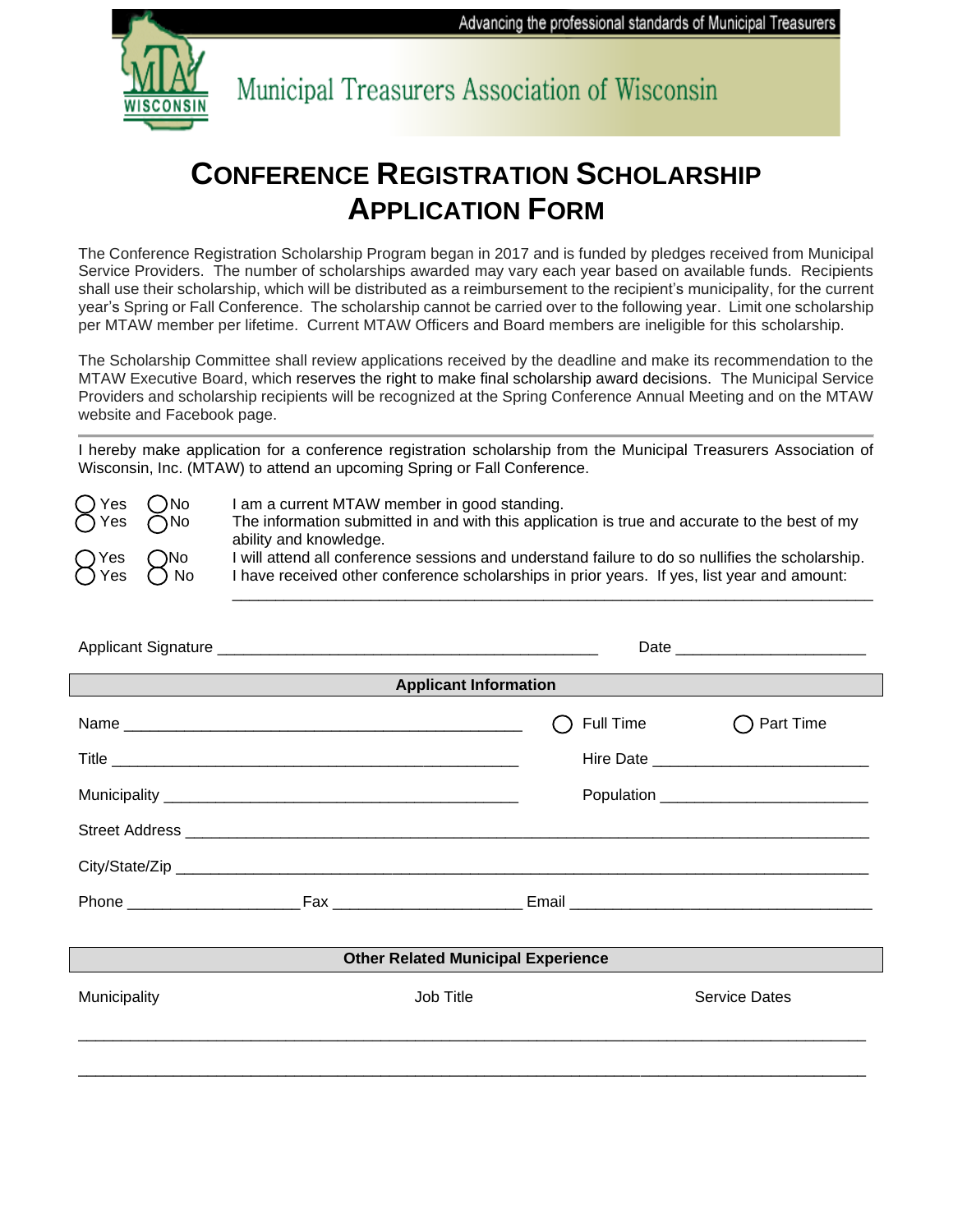Advancing the professional standards of Municipal Treasurers



Municipal Treasurers Association of Wisconsin

## **CONFERENCE REGISTRATION SCHOLARSHIP APPLICATION FORM**

The Conference Registration Scholarship Program began in 2017 and is funded by pledges received from Municipal Service Providers. The number of scholarships awarded may vary each year based on available funds. Recipients shall use their scholarship, which will be distributed as a reimbursement to the recipient's municipality, for the current year's Spring or Fall Conference. The scholarship cannot be carried over to the following year. Limit one scholarship per MTAW member per lifetime. Current MTAW Officers and Board members are ineligible for this scholarship.

The Scholarship Committee shall review applications received by the deadline and make its recommendation to the MTAW Executive Board, which reserves the right to make final scholarship award decisions. The Municipal Service Providers and scholarship recipients will be recognized at the Spring Conference Annual Meeting and on the MTAW website and Facebook page.

I hereby make application for a conference registration scholarship from the Municipal Treasurers Association of Wisconsin, Inc. (MTAW) to attend an upcoming Spring or Fall Conference.

| ○ Yes ○No<br>○ Yes ○No                       | I am a current MTAW member in good standing.<br>The information submitted in and with this application is true and accurate to the best of my<br>ability and knowledge.                         |
|----------------------------------------------|-------------------------------------------------------------------------------------------------------------------------------------------------------------------------------------------------|
| O <sup>Yes</sup> O <sup>No</sup><br>OYes ONo | I will attend all conference sessions and understand failure to do so nullifies the scholarship.<br>I have received other conference scholarships in prior years. If yes, list year and amount: |

| <b>Applicant Information</b>              |           |           |                                          |  |  |  |  |
|-------------------------------------------|-----------|-----------|------------------------------------------|--|--|--|--|
|                                           |           | Full Time | Part Time                                |  |  |  |  |
|                                           |           |           |                                          |  |  |  |  |
|                                           |           |           | Population _____________________________ |  |  |  |  |
|                                           |           |           |                                          |  |  |  |  |
|                                           |           |           |                                          |  |  |  |  |
|                                           |           |           |                                          |  |  |  |  |
|                                           |           |           |                                          |  |  |  |  |
| <b>Other Related Municipal Experience</b> |           |           |                                          |  |  |  |  |
| Municipality                              | Job Title |           | <b>Service Dates</b>                     |  |  |  |  |
|                                           |           |           |                                          |  |  |  |  |
|                                           |           |           |                                          |  |  |  |  |